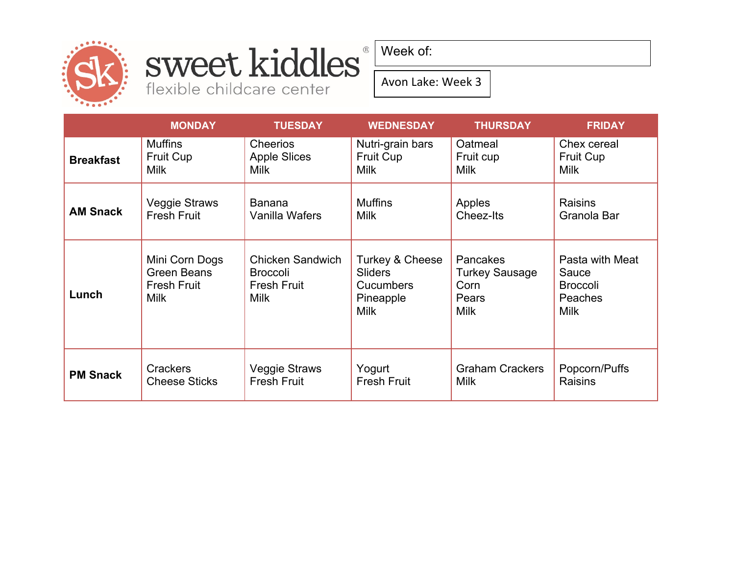

### sweet kiddles® flexible childcare center

Week of:

Avon Lake: Week 3

|                  | <b>MONDAY</b>                                                             | <b>TUESDAY</b>                                                                  | <b>WEDNESDAY</b>                                                                  | <b>THURSDAY</b>                                                   | <b>FRIDAY</b>                                                         |
|------------------|---------------------------------------------------------------------------|---------------------------------------------------------------------------------|-----------------------------------------------------------------------------------|-------------------------------------------------------------------|-----------------------------------------------------------------------|
| <b>Breakfast</b> | <b>Muffins</b>                                                            | <b>Cheerios</b>                                                                 | Nutri-grain bars                                                                  | Oatmeal                                                           | Chex cereal                                                           |
|                  | Fruit Cup                                                                 | <b>Apple Slices</b>                                                             | Fruit Cup                                                                         | Fruit cup                                                         | <b>Fruit Cup</b>                                                      |
|                  | <b>Milk</b>                                                               | <b>Milk</b>                                                                     | <b>Milk</b>                                                                       | <b>Milk</b>                                                       | <b>Milk</b>                                                           |
| <b>AM Snack</b>  | Veggie Straws                                                             | <b>Banana</b>                                                                   | <b>Muffins</b>                                                                    | Apples                                                            | <b>Raisins</b>                                                        |
|                  | <b>Fresh Fruit</b>                                                        | Vanilla Wafers                                                                  | <b>Milk</b>                                                                       | Cheez-Its                                                         | Granola Bar                                                           |
| Lunch            | Mini Corn Dogs<br><b>Green Beans</b><br><b>Fresh Fruit</b><br><b>Milk</b> | <b>Chicken Sandwich</b><br><b>Broccoli</b><br><b>Fresh Fruit</b><br><b>Milk</b> | Turkey & Cheese<br><b>Sliders</b><br><b>Cucumbers</b><br>Pineapple<br><b>Milk</b> | Pancakes<br><b>Turkey Sausage</b><br>Corn<br>Pears<br><b>Milk</b> | Pasta with Meat<br>Sauce<br><b>Broccoli</b><br>Peaches<br><b>Milk</b> |
| <b>PM Snack</b>  | <b>Crackers</b>                                                           | <b>Veggie Straws</b>                                                            | Yogurt                                                                            | <b>Graham Crackers</b>                                            | Popcorn/Puffs                                                         |
|                  | <b>Cheese Sticks</b>                                                      | <b>Fresh Fruit</b>                                                              | <b>Fresh Fruit</b>                                                                | <b>Milk</b>                                                       | <b>Raisins</b>                                                        |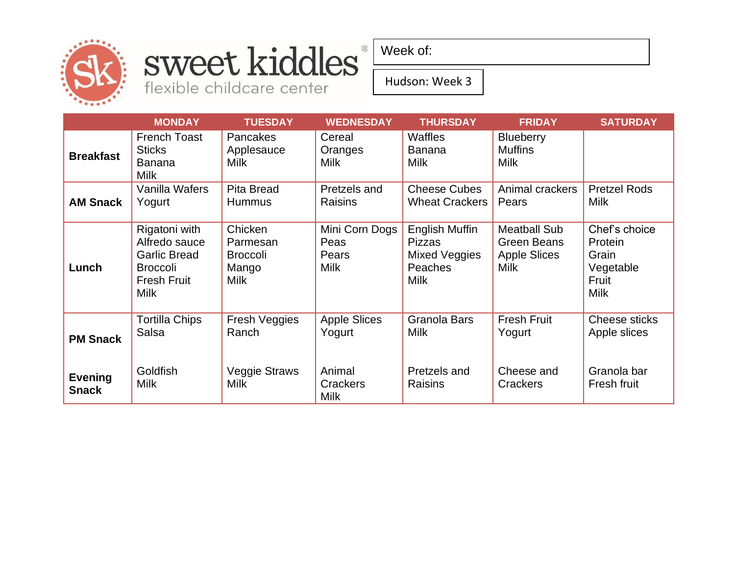

#### sweet kiddles® flexible childcare center

Week of:

Hudson: Week 3

|                                | <b>MONDAY</b>                                                                                                 | <b>TUESDAY</b>                                                 | <b>WEDNESDAY</b>                               | <b>THURSDAY</b>                                                                   | <b>FRIDAY</b>                                                                   | <b>SATURDAY</b>                                                        |
|--------------------------------|---------------------------------------------------------------------------------------------------------------|----------------------------------------------------------------|------------------------------------------------|-----------------------------------------------------------------------------------|---------------------------------------------------------------------------------|------------------------------------------------------------------------|
| <b>Breakfast</b>               | <b>French Toast</b><br><b>Sticks</b><br><b>Banana</b><br><b>Milk</b>                                          | <b>Pancakes</b><br>Applesauce<br><b>Milk</b>                   | Cereal<br>Oranges<br><b>Milk</b>               | <b>Waffles</b><br><b>Banana</b><br><b>Milk</b>                                    | <b>Blueberry</b><br><b>Muffins</b><br><b>Milk</b>                               |                                                                        |
| <b>AM Snack</b>                | Vanilla Wafers<br>Yogurt                                                                                      | <b>Pita Bread</b><br><b>Hummus</b>                             | Pretzels and<br><b>Raisins</b>                 | <b>Cheese Cubes</b><br><b>Wheat Crackers</b>                                      | Animal crackers<br>Pears                                                        | <b>Pretzel Rods</b><br><b>Milk</b>                                     |
| Lunch                          | Rigatoni with<br>Alfredo sauce<br><b>Garlic Bread</b><br><b>Broccoli</b><br><b>Fresh Fruit</b><br><b>Milk</b> | Chicken<br>Parmesan<br><b>Broccoli</b><br>Mango<br><b>Milk</b> | Mini Corn Dogs<br>Peas<br>Pears<br><b>Milk</b> | <b>English Muffin</b><br><b>Pizzas</b><br>Mixed Veggies<br>Peaches<br><b>Milk</b> | <b>Meatball Sub</b><br><b>Green Beans</b><br><b>Apple Slices</b><br><b>Milk</b> | Chef's choice<br>Protein<br>Grain<br>Vegetable<br>Fruit<br><b>Milk</b> |
| <b>PM Snack</b>                | <b>Tortilla Chips</b><br>Salsa                                                                                | Fresh Veggies<br>Ranch                                         | <b>Apple Slices</b><br>Yogurt                  | Granola Bars<br><b>Milk</b>                                                       | <b>Fresh Fruit</b><br>Yogurt                                                    | Cheese sticks<br>Apple slices                                          |
| <b>Evening</b><br><b>Snack</b> | Goldfish<br><b>Milk</b>                                                                                       | Veggie Straws<br><b>Milk</b>                                   | Animal<br>Crackers<br><b>Milk</b>              | Pretzels and<br>Raisins                                                           | Cheese and<br><b>Crackers</b>                                                   | Granola bar<br>Fresh fruit                                             |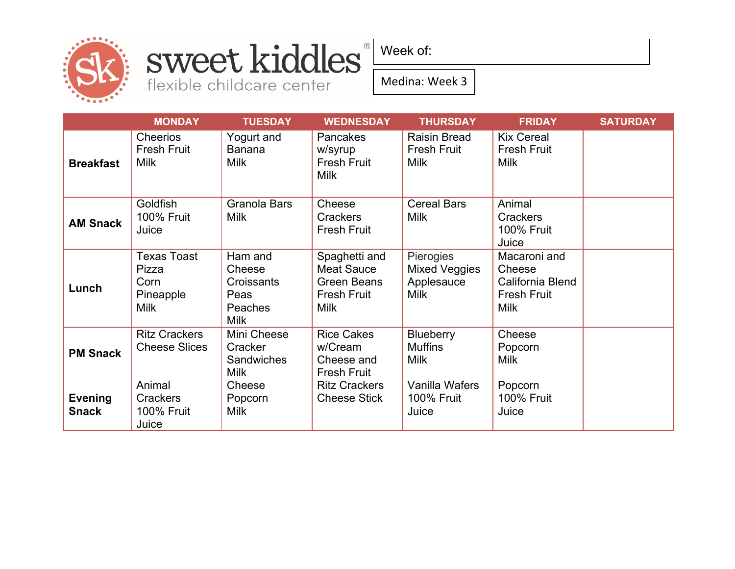

## sweet kiddles

flexible childcare center

Week of:

Medina: Week 3

|                                | <b>MONDAY</b>                                                   | <b>TUESDAY</b>                                                    | <b>WEDNESDAY</b>                                                                       | <b>THURSDAY</b>                                                | <b>FRIDAY</b>                                                                   | <b>SATURDAY</b> |
|--------------------------------|-----------------------------------------------------------------|-------------------------------------------------------------------|----------------------------------------------------------------------------------------|----------------------------------------------------------------|---------------------------------------------------------------------------------|-----------------|
| <b>Breakfast</b>               | <b>Cheerios</b><br><b>Fresh Fruit</b><br><b>Milk</b>            | Yogurt and<br>Banana<br><b>Milk</b>                               | <b>Pancakes</b><br>w/syrup<br><b>Fresh Fruit</b><br><b>Milk</b>                        | <b>Raisin Bread</b><br><b>Fresh Fruit</b><br><b>Milk</b>       | <b>Kix Cereal</b><br><b>Fresh Fruit</b><br><b>Milk</b>                          |                 |
| <b>AM Snack</b>                | Goldfish<br><b>100% Fruit</b><br>Juice                          | Granola Bars<br><b>Milk</b>                                       | Cheese<br><b>Crackers</b><br><b>Fresh Fruit</b>                                        | <b>Cereal Bars</b><br><b>Milk</b>                              | Animal<br><b>Crackers</b><br><b>100% Fruit</b><br>Juice                         |                 |
| Lunch                          | <b>Texas Toast</b><br>Pizza<br>Corn<br>Pineapple<br><b>Milk</b> | Ham and<br>Cheese<br>Croissants<br>Peas<br>Peaches<br><b>Milk</b> | Spaghetti and<br>Meat Sauce<br><b>Green Beans</b><br><b>Fresh Fruit</b><br><b>Milk</b> | Pierogies<br><b>Mixed Veggies</b><br>Applesauce<br><b>Milk</b> | Macaroni and<br>Cheese<br>California Blend<br><b>Fresh Fruit</b><br><b>Milk</b> |                 |
| <b>PM Snack</b>                | <b>Ritz Crackers</b><br><b>Cheese Slices</b>                    | Mini Cheese<br>Cracker<br><b>Sandwiches</b><br><b>Milk</b>        | <b>Rice Cakes</b><br>w/Cream<br>Cheese and<br><b>Fresh Fruit</b>                       | <b>Blueberry</b><br><b>Muffins</b><br><b>Milk</b>              | Cheese<br>Popcorn<br><b>Milk</b>                                                |                 |
| <b>Evening</b><br><b>Snack</b> | Animal<br>Crackers<br><b>100% Fruit</b><br>Juice                | Cheese<br>Popcorn<br><b>Milk</b>                                  | <b>Ritz Crackers</b><br><b>Cheese Stick</b>                                            | Vanilla Wafers<br><b>100% Fruit</b><br>Juice                   | Popcorn<br><b>100% Fruit</b><br>Juice                                           |                 |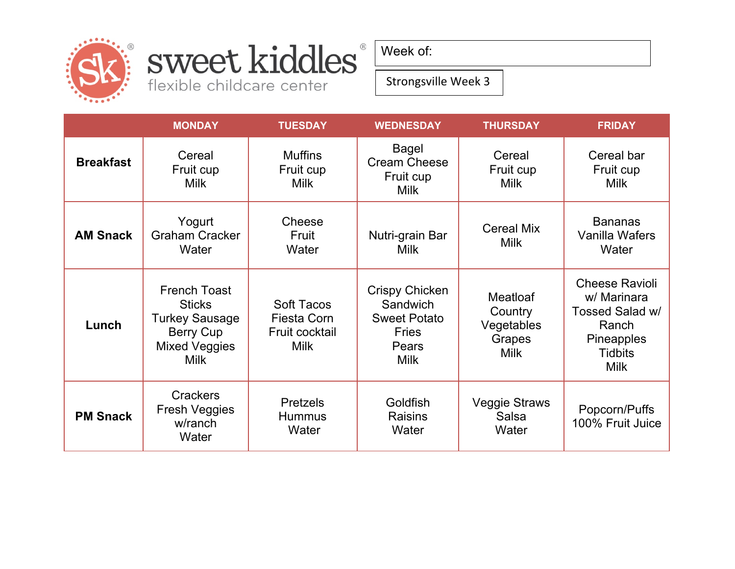

## sweet kiddles®

flexible childcare center

Week of:

Strongsville Week 3

|                  | <b>MONDAY</b>                                                                                                     | <b>TUESDAY</b>                                                           | <b>WEDNESDAY</b>                                                                          | <b>THURSDAY</b>                                                   | <b>FRIDAY</b>                                                                                                          |
|------------------|-------------------------------------------------------------------------------------------------------------------|--------------------------------------------------------------------------|-------------------------------------------------------------------------------------------|-------------------------------------------------------------------|------------------------------------------------------------------------------------------------------------------------|
| <b>Breakfast</b> | Cereal<br>Fruit cup<br><b>Milk</b>                                                                                | <b>Muffins</b><br>Fruit cup<br><b>Milk</b>                               | <b>Bagel</b><br><b>Cream Cheese</b><br>Fruit cup<br><b>Milk</b>                           | Cereal<br>Fruit cup<br><b>Milk</b>                                | Cereal bar<br>Fruit cup<br><b>Milk</b>                                                                                 |
| <b>AM Snack</b>  | Yogurt<br><b>Graham Cracker</b><br>Water                                                                          | Cheese<br>Fruit<br>Water                                                 | Nutri-grain Bar<br><b>Milk</b>                                                            | <b>Cereal Mix</b><br><b>Milk</b>                                  | <b>Bananas</b><br>Vanilla Wafers<br>Water                                                                              |
| Lunch            | <b>French Toast</b><br><b>Sticks</b><br><b>Turkey Sausage</b><br>Berry Cup<br><b>Mixed Veggies</b><br><b>Milk</b> | <b>Soft Tacos</b><br><b>Fiesta Corn</b><br>Fruit cocktail<br><b>Milk</b> | Crispy Chicken<br>Sandwich<br><b>Sweet Potato</b><br><b>Fries</b><br>Pears<br><b>Milk</b> | <b>Meatloaf</b><br>Country<br>Vegetables<br>Grapes<br><b>Milk</b> | <b>Cheese Ravioli</b><br>w/ Marinara<br>Tossed Salad w/<br>Ranch<br><b>Pineapples</b><br><b>Tidbits</b><br><b>Milk</b> |
| <b>PM Snack</b>  | <b>Crackers</b><br><b>Fresh Veggies</b><br>w/ranch<br>Water                                                       | <b>Pretzels</b><br><b>Hummus</b><br>Water                                | Goldfish<br><b>Raisins</b><br>Water                                                       | <b>Veggie Straws</b><br><b>Salsa</b><br>Water                     | Popcorn/Puffs<br>100% Fruit Juice                                                                                      |